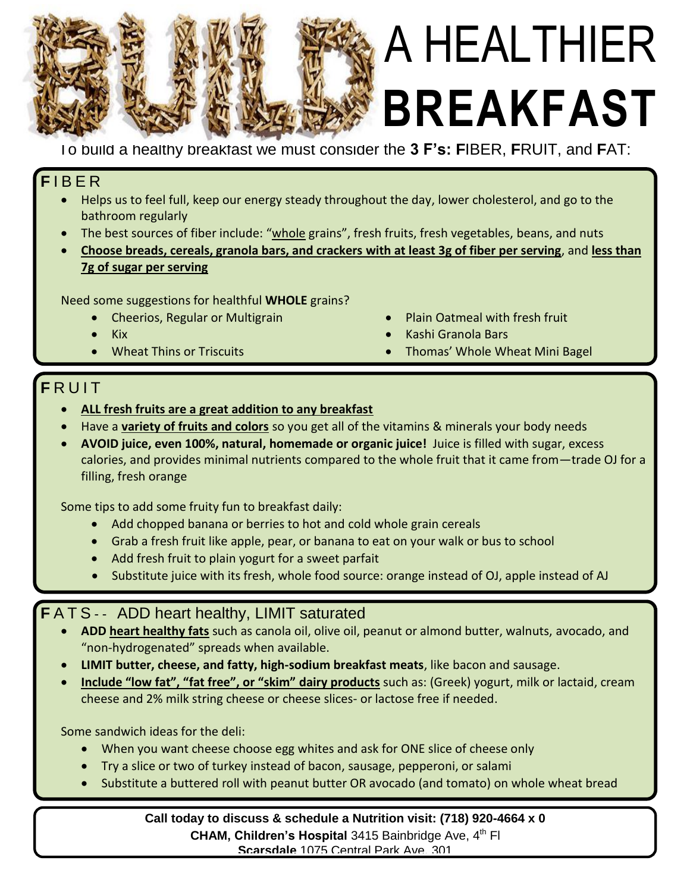

# A HEALTHIER **BREAKFAST**

To build a healthy breakfast we must consider the **3 F's: F**IBER, **F**RUIT, and **F**AT:

#### **F** I B E R

- Helps us to feel full, keep our energy steady throughout the day, lower cholesterol, and go to the bathroom regularly
- The best sources of fiber include: "whole grains", fresh fruits, fresh vegetables, beans, and nuts
- **Choose breads, cereals, granola bars, and crackers with at least 3g of fiber per serving**, and **less than 7g of sugar per serving**

Need some suggestions for healthful **WHOLE** grains?

- Cheerios, Regular or Multigrain
- Kix
- Wheat Thins or Triscuits
- Plain Oatmeal with fresh fruit
- Kashi Granola Bars
- Thomas' Whole Wheat Mini Bagel

### **F** R U I T

- **ALL fresh fruits are a great addition to any breakfast**
- Have a **variety of fruits and colors** so you get all of the vitamins & minerals your body needs
- **AVOID juice, even 100%, natural, homemade or organic juice!** Juice is filled with sugar, excess calories, and provides minimal nutrients compared to the whole fruit that it came from—trade OJ for a filling, fresh orange

Some tips to add some fruity fun to breakfast daily:

- Add chopped banana or berries to hot and cold whole grain cereals
- Grab a fresh fruit like apple, pear, or banana to eat on your walk or bus to school
- Add fresh fruit to plain yogurt for a sweet parfait
- Substitute juice with its fresh, whole food source: orange instead of OJ, apple instead of AJ

#### **F** A T S - - ADD heart healthy, LIMIT saturated

- **ADD heart healthy fats** such as canola oil, olive oil, peanut or almond butter, walnuts, avocado, and "non-hydrogenated" spreads when available.
- **LIMIT butter, cheese, and fatty, high-sodium breakfast meats**, like bacon and sausage.
- **Include "low fat", "fat free", or "skim" dairy products** such as: (Greek) yogurt, milk or lactaid, cream cheese and 2% milk string cheese or cheese slices- or lactose free if needed.

Some sandwich ideas for the deli:

- When you want cheese choose egg whites and ask for ONE slice of cheese only
- Try a slice or two of turkey instead of bacon, sausage, pepperoni, or salami
- Substitute a buttered roll with peanut butter OR avocado (and tomato) on whole wheat bread

**Call today to discuss & schedule a Nutrition visit: (718) 920-4664 x 0 CHAM, Children's Hospital** 3415 Bainbridge Ave, 4<sup>th</sup> FI **Scarsdale** 1075 Central Park Ave, 301